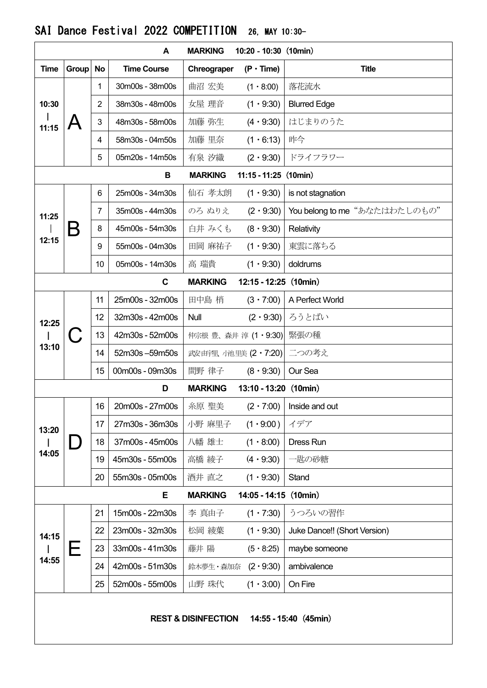|                                                         |       |                | A                  | <b>MARKING</b> | $10:20 - 10:30$ (10min) |                                 |  |  |  |  |  |
|---------------------------------------------------------|-------|----------------|--------------------|----------------|-------------------------|---------------------------------|--|--|--|--|--|
| <b>Time</b>                                             | Group | <b>No</b>      | <b>Time Course</b> | Chreograper    | $(P \cdot Time)$        | <b>Title</b>                    |  |  |  |  |  |
| 10:30<br>11:15                                          |       | 1              | 30m00s - 38m00s    | 曲沼 宏美          | $(1 \cdot 8:00)$        | 落花流水                            |  |  |  |  |  |
|                                                         |       | $\overline{2}$ | 38m30s - 48m00s    | 女屋 理音          | $(1 \cdot 9:30)$        | <b>Blurred Edge</b>             |  |  |  |  |  |
|                                                         |       | 3              | 48m30s - 58m00s    | 加藤 弥生          | $(4 \cdot 9:30)$        | はじまりのうた                         |  |  |  |  |  |
|                                                         |       | 4              | 58m30s - 04m50s    | 加藤 里奈          | $(1 \cdot 6:13)$        | 昨今                              |  |  |  |  |  |
|                                                         |       | 5              | 05m20s - 14m50s    | 有泉 汐織          | $(2 \cdot 9:30)$        | ドライフラワー                         |  |  |  |  |  |
| $11:15 - 11:25$ (10min)<br><b>MARKING</b><br>в          |       |                |                    |                |                         |                                 |  |  |  |  |  |
| 11:25<br>12:15                                          |       | 6              | 25m00s - 34m30s    | 仙石 孝太朗         | $(1 \cdot 9:30)$        | is not stagnation               |  |  |  |  |  |
|                                                         |       | 7              | 35m00s - 44m30s    | のろ ぬりえ         | $(2 \cdot 9:30)$        | You belong to me "あなたはわたしのもの"   |  |  |  |  |  |
|                                                         | B     | 8              | 45m00s - 54m30s    | 白井 みくも         | $(8 \cdot 9:30)$        | Relativity                      |  |  |  |  |  |
|                                                         |       | 9              | 55m00s - 04m30s    | 田岡 麻祐子         | $(1 \cdot 9:30)$        | 東雲に落ちる                          |  |  |  |  |  |
|                                                         |       | 10             | 05m00s - 14m30s    | 高 瑞貴           | $(1 \cdot 9:30)$        | doldrums                        |  |  |  |  |  |
| $\mathbf c$                                             |       |                |                    | <b>MARKING</b> | $12:15 - 12:25$ (10min) |                                 |  |  |  |  |  |
|                                                         |       | 11             | 25m00s - 32m00s    | 田中島 梢          | $(3 \cdot 7:00)$        | A Perfect World                 |  |  |  |  |  |
| 12:25<br>13:10                                          |       | 12             | 32m30s - 42m00s    | Null           | $(2 \cdot 9:30)$        | ろうとばい                           |  |  |  |  |  |
|                                                         |       | 13             | 42m30s - 52m00s    |                | 仲宗根 豊、森井 淳 (1・9:30)     | 緊張の種                            |  |  |  |  |  |
|                                                         |       | 14             | 52m30s-59m50s      |                | 武安 由宇里 /池里美 (2·7:20)    | 二つの考え                           |  |  |  |  |  |
|                                                         |       | 15             | 00m00s - 09m30s    | 間野 律子          | $(8 \cdot 9:30)$        | Our Sea                         |  |  |  |  |  |
|                                                         |       |                | D                  | <b>MARKING</b> | $13:10 - 13:20$ (10min) |                                 |  |  |  |  |  |
|                                                         | )     | 16             | 20m00s - 27m00s    | 糸原 聖美          |                         | $(2 \cdot 7:00)$ Inside and out |  |  |  |  |  |
| 13:20<br>14:05                                          |       | 17             | 27m30s - 36m30s    | 小野 麻里子         | $(1 \cdot 9:00)$        | イデア                             |  |  |  |  |  |
|                                                         |       | 18             | 37m00s - 45m00s    | 八幡 雄士          | $(1 \cdot 8.00)$        | <b>Dress Run</b>                |  |  |  |  |  |
|                                                         |       | 19             | 45m30s - 55m00s    | 高橋 綾子          | $(4 \cdot 9:30)$        | ・匙の砂糖                           |  |  |  |  |  |
|                                                         |       | 20             | 55m30s - 05m00s    | 酒井 直之          | $(1 \cdot 9:30)$        | Stand                           |  |  |  |  |  |
|                                                         |       |                | Е                  | <b>MARKING</b> | $14:05 - 14:15$ (10min) |                                 |  |  |  |  |  |
| 14:15<br>14:55                                          | Е     | 21             | 15m00s - 22m30s    | 李 真由子          | $(1 \cdot 7:30)$        | うつろいの習作                         |  |  |  |  |  |
|                                                         |       | 22             | 23m00s - 32m30s    | 松岡 綾葉          | $(1 \cdot 9:30)$        | Juke Dance!! (Short Version)    |  |  |  |  |  |
|                                                         |       | 23             | 33m00s - 41m30s    | 藤井 陽           | $(5 \cdot 8:25)$        | maybe someone                   |  |  |  |  |  |
|                                                         |       | 24             | 42m00s - 51m30s    | 鈴木夢生・森加奈       | $(2 \cdot 9:30)$        | ambivalence                     |  |  |  |  |  |
|                                                         |       | 25             | 52m00s - 55m00s    | 山野 珠代          | $(1 \cdot 3:00)$        | On Fire                         |  |  |  |  |  |
| <b>REST &amp; DISINFECTION</b><br>14:55 - 15:40 (45min) |       |                |                    |                |                         |                                 |  |  |  |  |  |

## SAI Dance Festival 2022 COMPETITION 26, MAY 10:30-